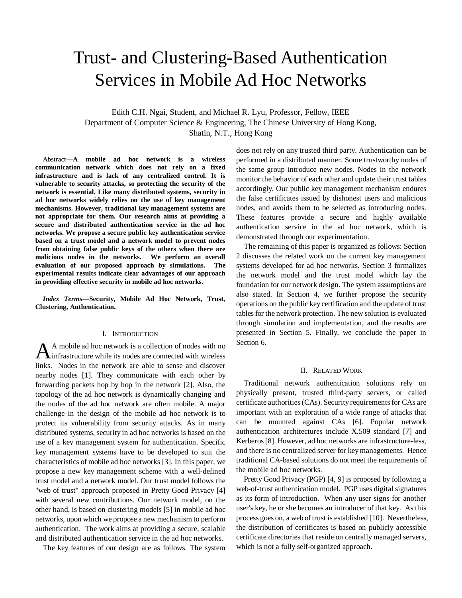# Trust- and Clustering-Based Authentication Services in Mobile Ad Hoc Networks

Edith C.H. Ngai, Student, and Michael R. Lyu, Professor, Fellow*,* IEEE Department of Computer Science & Engineering, The Chinese University of Hong Kong, Shatin, N.T., Hong Kong

Abstract**—A mobile ad hoc network is a wireless communication network which does not rely on a fixed infrastructure and is lack of any centralized control. It is vulnerable to security attacks, so protecting the security of the network is essential. Like many distributed systems, security in ad hoc networks widely relies on the use of key management mechanisms. However, traditional key management systems are not appropriate for them. Our research aims at providing a secure and distributed authentication service in the ad hoc networks. We propose a secure public key authentication service based on a trust model and a network model to prevent nodes from obtaining false public keys of the others when there are malicious nodes in the networks. We perform an overall evaluation of our proposed approach by simulations. The experimental results indicate clear advantages of our approach in providing effective security in mobile ad hoc networks.** 

*Index Terms***—Security, Mobile Ad Hoc Network, Trust, Clustering, Authentication.** 

#### I. INTRODUCTION

A mobile ad hoc network is a collection of nodes with no  $\mathbf A$  mobile ad hoc network is a collection of nodes with no infrastructure while its nodes are connected with wireless links. Nodes in the network are able to sense and discover nearby nodes [1]. They communicate with each other by forwarding packets hop by hop in the network [2]. Also, the topology of the ad hoc network is dynamically changing and the nodes of the ad hoc network are often mobile. A major challenge in the design of the mobile ad hoc network is to protect its vulnerability from security attacks. As in many distributed systems, security in ad hoc networks is based on the use of a key management system for authentication. Specific key management systems have to be developed to suit the characteristics of mobile ad hoc networks [3]. In this paper, we propose a new key management scheme with a well-defined trust model and a network model. Our trust model follows the "web of trust" approach proposed in Pretty Good Privacy [4] with several new contributions. Our network model, on the other hand, is based on clustering models [5] in mobile ad hoc networks, upon which we propose a new mechanism to perform authentication. The work aims at providing a secure, scalable and distributed authentication service in the ad hoc networks.

The key features of our design are as follows. The system

does not rely on any trusted third party. Authentication can be performed in a distributed manner. Some trustworthy nodes of the same group introduce new nodes. Nodes in the network monitor the behavior of each other and update their trust tables accordingly. Our public key management mechanism endures the false certificates issued by dishonest users and malicious nodes, and avoids them to be selected as introducing nodes. These features provide a secure and highly available authentication service in the ad hoc network, which is demonstrated through our experimentation.

The remaining of this paper is organized as follows: Section 2 discusses the related work on the current key management systems developed for ad hoc networks. Section 3 formalizes the network model and the trust model which lay the foundation for our network design. The system assumptions are also stated. In Section 4, we further propose the security operations on the public key certification and the update of trust tables for the network protection. The new solution is evaluated through simulation and implementation, and the results are presented in Section 5. Finally, we conclude the paper in Section 6.

#### II. RELATED WORK

Traditional network authentication solutions rely on physically present, trusted third-party servers, or called certificate authorities (CAs). Security requirements for CAs are important with an exploration of a wide range of attacks that can be mounted against CAs [6]. Popular network authentication architectures include X.509 standard [7] and Kerberos[8]. However, ad hoc networks are infrastructure-less, and there is no centralized server for key managements. Hence traditional CA-based solutions do not meet the requirements of the mobile ad hoc networks.

Pretty Good Privacy (PGP) [4, 9] is proposed by following a web-of-trust authentication model. PGP uses digital signatures as its form of introduction. When any user signs for another user's key, he or she becomes an introducer of that key. As this process goes on, a web of trust is established [10]. Nevertheless, the distribution of certificates is based on publicly accessible certificate directories that reside on centrally managed servers, which is not a fully self-organized approach.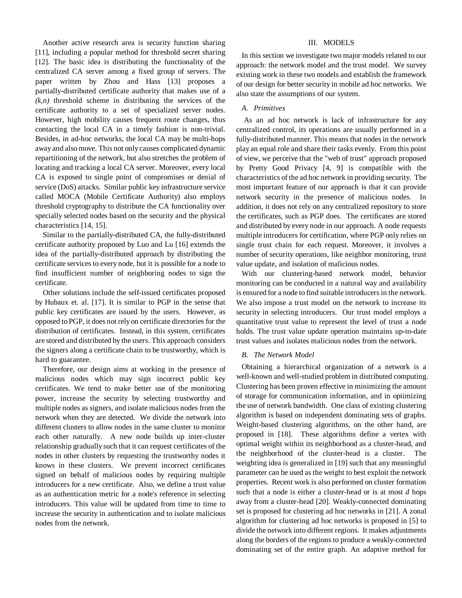Another active research area is security function sharing [11], including a popular method for threshold secret sharing [12]. The basic idea is distributing the functionality of the centralized CA server among a fixed group of servers. The paper written by Zhou and Hass [13] proposes a partially-distributed certificate authority that makes use of a  $(k,n)$  threshold scheme in distributing the services of the certificate authority to a set of specialized server nodes. However, high mobility causes frequent route changes, thus contacting the local CA in a timely fashion is non-trivial. Besides, in ad-hoc networks, the local CA may be multi-hops away and also move. This not only causes complicated dynamic repartitioning of the network, but also stretches the problem of locating and tracking a local CA server. Moreover, every local CA is exposed to single point of compromises or denial of service (DoS) attacks. Similar public key infrastructure service called MOCA (Mobile Certificate Authority) also employs threshold cryptography to distribute the CA functionality over specially selected nodes based on the security and the physical characteristics [14, 15].

Similar to the partially-distributed CA, the fully-distributed certificate authority proposed by Luo and Lu [16] extends the idea of the partially-distributed approach by distributing the certificate services to every node, but it is possible for a node to find insufficient number of neighboring nodes to sign the certificate.

Other solutions include the self-issued certificates proposed by Hubaux et. al. [17]. It is similar to PGP in the sense that public key certificates are issued by the users. However, as opposed to PGP, it does not rely on certificate directories for the distribution of certificates. Instead, in this system, certificates are stored and distributed by the users. This approach considers the signers along a certificate chain to be trustworthy, which is hard to guarantee.

Therefore, our design aims at working in the presence of malicious nodes which may sign incorrect public key certificates. We tend to make better use of the monitoring power, increase the security by selecting trustworthy and multiple nodes as signers, and isolate malicious nodes from the network when they are detected. We divide the network into different clusters to allow nodes in the same cluster to monitor each other naturally. A new node builds up inter-cluster relationship gradually such that it can request certificates of the nodes in other clusters by requesting the trustworthy nodes it knows in these clusters. We prevent incorrect certificates signed on behalf of malicious nodes by requiring multiple introducers for a new certificate. Also, we define a trust value as an authentication metric for a node's reference in selecting introducers. This value will be updated from time to time to increase the security in authentication and to isolate malicious nodes from the network.

# III. MODELS

In this section we investigate two major models related to our approach: the network model and the trust model. We survey existing work in these two models and establish the framework of our design for better security in mobile ad hoc networks. We also state the assumptions of our system.

## *A. Primitives*

As an ad hoc network is lack of infrastructure for any centralized control, its operations are usually performed in a fully-distributed manner. This means that nodes in the network play an equal role and share their tasks evenly. From this point of view, we perceive that the "web of trust" approach proposed by Pretty Good Privacy [4, 9] is compatible with the characteristics of the ad hoc network in providing security. The most important feature of our approach is that it can provide network security in the presence of malicious nodes. In addition, it does not rely on any centralized repository to store the certificates, such as PGP does. The certificates are stored and distributed by every node in our approach. A node requests multiple introducers for certification, where PGP only relies on single trust chain for each request. Moreover, it involves a number of security operations, like neighbor monitoring, trust value update, and isolation of malicious nodes.

With our clustering-based network model, behavior monitoring can be conducted in a natural way and availability is ensured for a node to find suitable introducersin the network. We also impose a trust model on the network to increase its security in selecting introducers. Our trust model employs a quantitative trust value to represent the level of trust a node holds. The trust value update operation maintains up-to-date trust values and isolates malicious nodes from the network.

# *B. The Network Model*

Obtaining a hierarchical organization of a network is a well-known and well-studied problem in distributed computing. Clustering has been proven effective in minimizing the amount of storage for communication information, and in optimizing the use of network bandwidth. One class of existing clustering algorithm is based on independent dominating sets of graphs. Weight-based clustering algorithms, on the other hand, are proposed in [18]. These algorithms define a vertex with optimal weight within its neighborhood as a cluster-head, and the neighborhood of the cluster-head is a cluster. The weighting idea is generalized in [19] such that any meaningful parameter can be used as the weight to best exploit the network properties. Recent work is also performed on cluster formation such that a node is either a cluster-head or is at most *d* hops away from a cluster-head [20]. Weakly-connected dominating set is proposed for clustering ad hoc networks in [21]. A zonal algorithm for clustering ad hoc networks is proposed in [5] to divide the network into different regions. It makes adjustments along the borders of the regions to produce a weakly-connected dominating set of the entire graph. An adaptive method for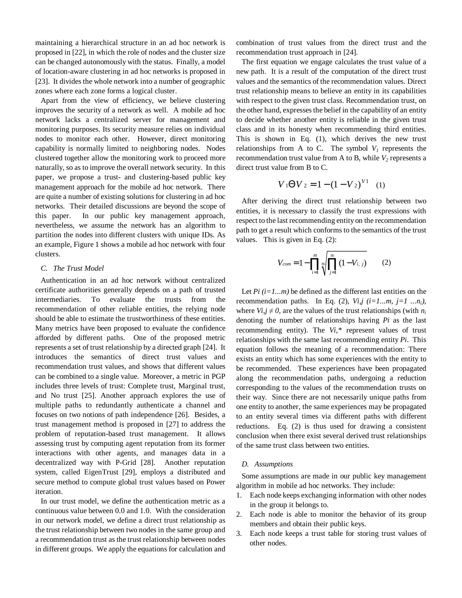maintaining a hierarchical structure in an ad hoc network is proposed in [22], in which the role of nodes and the cluster size can be changed autonomously with the status. Finally, a model of location-aware clustering in ad hoc networks is proposed in [23]. It divides the whole network into a number of geographic zones where each zone forms a logical cluster.

Apart from the view of efficiency, we believe clustering improves the security of a network as well. A mobile ad hoc network lacks a centralized server for management and monitoring purposes. Its security measure relies on individual nodes to monitor each other. However, direct monitoring capability is normally limited to neighboring nodes. Nodes clustered together allow the monitoring work to proceed more naturally, so as to improve the overall network security. In this paper, we propose a trust- and clustering-based public key management approach for the mobile ad hoc network. There are quite a number of existing solutions for clustering in ad hoc networks. Their detailed discussions are beyond the scope of this paper. In our public key management approach, nevertheless, we assume the network has an algorithm to partition the nodes into different clusters with unique IDs. As an example, Figure 1 shows a mobile ad hoc network with four clusters.

## *C. The Trust Model*

Authentication in an ad hoc network without centralized certificate authorities generally depends on a path of trusted intermediaries. To evaluate the trusts from the recommendation of other reliable entities, the relying node should be able to estimate the trustworthiness of these entities. Many metrics have been proposed to evaluate the confidence afforded by different paths. One of the proposed metric represents a set of trust relationship by a directed graph [24]. It introduces the semantics of direct trust values and recommendation trust values, and shows that different values can be combined to a single value. Moreover, a metric in PGP includes three levels of trust: Complete trust, Marginal trust, and No trust [25]. Another approach explores the use of multiple paths to redundantly authenticate a channel and focuses on two notions of path independence [26]. Besides, a trust management method is proposed in [27] to address the problem of reputation-based trust management. It allows assessing trust by computing agent reputation from its former interactions with other agents, and manages data in a decentralized way with P-Grid [28]. Another reputation system, called EigenTrust [29], employs a distributed and secure method to compute global trust values based on Power iteration.

In our trust model, we define the authentication metric as a continuous value between 0.0 and 1.0. With the consideration in our network model, we define a direct trust relationship as the trust relationship between two nodes in the same group and a recommendation trust as the trust relationship between nodes in different groups. We apply the equations for calculation and combination of trust values from the direct trust and the recommendation trust approach in [24].

The first equation we engage calculates the trust value of a new path. It is a result of the computation of the direct trust values and the semantics of the recommendation values. Direct trust relationship means to believe an entity in its capabilities with respect to the given trust class. Recommendation trust, on the other hand, expresses the belief in the capability of an entity to decide whether another entity is reliable in the given trust class and in its honesty when recommending third entities. This is shown in Eq. (1), which derives the new trust relationships from A to C. The symbol  $V_I$  represents the recommendation trust value from A to B, while  $V_2$  represents a direct trust value from B to C.

$$
V_1 \Theta V_2 = 1 - (1 - V_2)^{V_1} \quad (1)
$$

After deriving the direct trust relationship between two entities, it is necessary to classify the trust expressions with respect to the last recommending entity on the recommendation path to get a result which conforms to the semantics of the trust values. This is given in Eq. (2):

$$
V_{com} = 1 - \prod_{i=1}^{m} \sqrt[m]{\prod_{j=1}^{m} (1 - V_{i, j})}
$$
 (2)

Let  $Pi(i=1...m)$  be defined as the different last entities on the recommendation paths. In Eq. (2),  $Vi, j \ (i=1...m, j=1...n_i)$ , where  $Vi, j \neq 0$ , are the values of the trust relationships (with  $n_i$ ) denoting the number of relationships having *Pi* as the last recommending entity). The *Vi,\** represent values of trust relationships with the same last recommending entity *Pi*. This equation follows the meaning of a recommendation: There exists an entity which has some experiences with the entity to be recommended. These experiences have been propagated along the recommendation paths, undergoing a reduction corresponding to the values of the recommendation trusts on their way. Since there are not necessarily unique paths from one entity to another, the same experiences may be propagated to an entity several times via different paths with different reductions. Eq. (2) is thus used for drawing a consistent conclusion when there exist several derived trust relationships of the same trust class between two entities.

### *D. Assumptions*

Some assumptions are made in our public key management algorithm in mobile ad hoc networks. They include:

- 1. Each node keeps exchanging information with other nodes in the group it belongs to.
- 2. Each node is able to monitor the behavior of its group members and obtain their public keys.
- 3. Each node keeps a trust table for storing trust values of other nodes.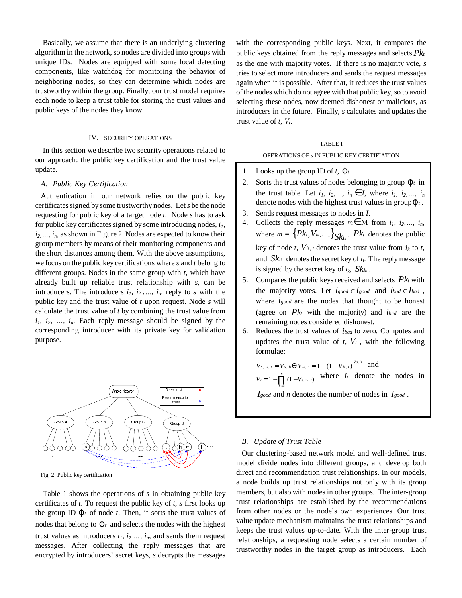Basically, we assume that there is an underlying clustering algorithm in the network, so nodes are divided into groups with unique IDs. Nodes are equipped with some local detecting components, like watchdog for monitoring the behavior of neighboring nodes, so they can determine which nodes are trustworthy within the group. Finally, our trust model requires each node to keep a trust table for storing the trust values and public keys of the nodes they know.

## IV. SECURITY OPERATIONS

In this section we describe two security operations related to our approach: the public key certification and the trust value update.

### *A. Public Key Certification*

Authentication in our network relies on the public key certificates signed by some trustworthy nodes. Let *s* be the node requesting for public key of a target node *t*. Node *s* has to ask for public key certificates signed by some introducing nodes, *i1,*   $i_2, \ldots, i_n$ , as shown in Figure 2. Nodes are expected to know their group members by means of their monitoring components and the short distances among them. With the above assumptions, we focus on the public key certifications where *s* and *t* belong to different groups. Nodes in the same group with *t,* which have already built up reliable trust relationship with *s,* can be introducers. The introducers  $i_1$ ,  $i_2$ , ...,  $i_n$ , reply to *s* with the public key and the trust value of *t* upon request. Node *s* will calculate the trust value of *t* by combining the trust value from  $i_1$ ,  $i_2$ ,  $\ldots$ ,  $i_n$ . Each reply message should be signed by the corresponding introducer with its private key for validation purpose.



Fig. 2. Public key certification

Table 1 shows the operations of *s* in obtaining public key certificates of *t*. To request the public key of *t*, *s* first looks up the group ID  $j_t$  of node *t*. Then, it sorts the trust values of nodes that belong to  $j_t$  and selects the nodes with the highest trust values as introducers  $i_1$ ,  $i_2$   $\dots$ ,  $i_n$ , and sends them request messages. After collecting the reply messages that are encrypted by introducers' secret keys, *s* decrypts the messages

with the corresponding public keys. Next, it compares the public keys obtained from the reply messages and selects *Pk<sup>t</sup>* as the one with majority votes. If there is no majority vote, *s* tries to select more introducers and sends the request messages again when it is possible. After that, it reduces the trust values of the nodes which do not agree with that public key, so to avoid selecting these nodes, now deemed dishonest or malicious, as introducers in the future. Finally, *s* calculates and updates the trust value of *t*, *V<sup>t</sup>* .

## TABLE I

# OPERATIONS OF *s* IN PUBLIC KEY CERTIFIATION

- 1. Looks up the group ID of  $t$ ,  $j_t$ .
- 2. Sorts the trust values of nodes belonging to group  $j_t$  in the trust table. Let  $i_1, i_2, ..., i_n \in I$ , where  $i_1, i_2, ..., i_n$ denote nodes with the highest trust values in group*j<sup>t</sup>* .
- 3. Sends request messages to nodes in *I*.
- 4. Collects the reply messages  $m \in M$  from  $i_1, i_2, ..., i_n$ , where  $m = \left\{ P k_t, V_{i_k, t, \dots} \right\} S k_{i_k}$ .  $P k_t$  denotes the public key of node *t*,  $V_{ik, t}$  denotes the trust value from  $i_k$  to *t*, and  $Sk_i$  denotes the secret key of  $i_k$ . The reply message is signed by the secret key of  $i_k$ ,  $Sk_{ik}$ .
- 5. Compares the public keys received and selects *Pk<sup>t</sup>* with the majority votes. Let  $i_{good} \in I_{good}$  and  $i_{bad} \in I_{bad}$ , where *igood* are the nodes that thought to be honest (agree on *Pk<sup>t</sup>* with the majority) and *ibad* are the remaining nodes considered dishonest.
- 6. Reduces the trust values of *ibad* to zero. Computes and updates the trust value of  $t$ ,  $V_t$ , with the following formulae:

 $V_{s, i,k, t} = V_{s, i,k} \Theta V_{i,k, t} = 1 - (1 - V_{i,k, t})^{V_{s, i,k}}$  and  $1 - \prod_{i=1}^{n} (1 - V_{s, i k, t})$ 1  $V_i = 1 - \prod_{j=1}^{n} (1 - V_{s, i,i,j})$  where  $i_k$  denote the nodes in *k* =

*Igood* and *n* denotes the number of nodes in *Igood* .

## *B. Update of Trust Table*

Our clustering-based network model and well-defined trust model divide nodes into different groups, and develop both direct and recommendation trust relationships. In our models, a node builds up trust relationships not only with its group members, but also with nodes in other groups. The inter-group trust relationships are established by the recommendations from other nodes or the node's own experiences. Our trust value update mechanism maintains the trust relationships and keeps the trust values up-to-date. With the inter-group trust relationships, a requesting node selects a certain number of trustworthy nodes in the target group as introducers. Each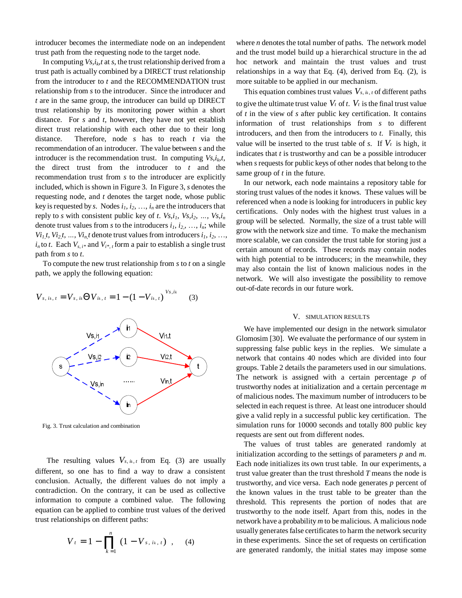introducer becomes the intermediate node on an independent trust path from the requesting node to the target node.

In computing  $Vs, i_k, t$  at  $s$ , the trust relationship derived from a trust path is actually combined by a DIRECT trust relationship from the introducer to *t* and the RECOMMENDATION trust relationship from *s* to the introducer. Since the introducer and *t* are in the same group, the introducer can build up DIRECT trust relationship by its monitoring power within a short distance. For *s* and *t*, however, they have not yet establish direct trust relationship with each other due to their long distance. Therefore, node *s* has to reach *t* via the recommendation of an introducer. The value between *s* and the introducer is the recommendation trust. In computing  $V_{s,i_k,t}$ , the direct trust from the introducer to *t* and the recommendation trust from *s* to the introducer are explicitly included, which is shown in Figure 3. In Figure 3, *s* denotes the requesting node, and *t* denotes the target node, whose public key is requested by *s*. Nodes  $i_1$ ,  $i_2$ , ...,  $i_n$  are the introducers that reply to *s* with consistent public key of *t*.  $V_s$ ,  $i_1$ ,  $V_s$ ,  $i_2$ ,  $\ldots$ ,  $V_s$ ,  $i_n$ denote trust values from *s* to the introducers  $i_1, i_2, \ldots, i_n$ ; while *Vi*<sub>*1,t*</sub>, *Vi*<sub>2,</sub>*t*, *…*, *Vi*<sub>*n*</sub>,*t* denote trust values from introducers *i*<sub>1</sub>, *i*<sub>2</sub>, …,  $i_n$  to *t*. Each  $V_{s,i}$  and  $V_{i^*,t}$  form a pair to establish a single trust path from *s* to *t*.

To compute the new trust relationship from *s* to *t* on a single path, we apply the following equation:



, i<sub>k, t</sub> =  $V_{s, i k}$   $\Theta$   $V_{i k, t}$  = 1 – (1 –  $V_{i k, t}$ )<sup>Vs,ik</sup>  $k, t = Vs, ik$   $\bigcup V$  is  $t, t = 1 - (1 - V)k$  $V_{s, i,k, t} = V_{s, i,k} \Theta V_{i,k, t} = 1 - (1 - V_{i,k, t})^{V_{s, i,k}}$  (3)

Fig. 3. Trust calculation and combination

The resulting values  $V_{s, i_k, t}$  from Eq. (3) are usually different, so one has to find a way to draw a consistent conclusion. Actually, the different values do not imply a contradiction. On the contrary, it can be used as collective information to compute a combined value. The following equation can be applied to combine trust values of the derived trust relationships on different paths:

$$
V_t = 1 - \prod_{k=1}^n (1 - V_{s, i_k, t}), \quad (4)
$$

where *n* denotes the total number of paths. The network model and the trust model build up a hierarchical structure in the ad hoc network and maintain the trust values and trust relationships in a way that Eq. (4), derived from Eq. (2), is more suitable to be applied in our mechanism.

This equation combines trust values  $V_{s, i_k, t}$  of different paths to give the ultimate trust value  $V_t$  of  $t$ .  $V_t$  is the final trust value of *t* in the view of *s* after public key certification. It contains information of trust relationships from *s* to different introducers, and then from the introducers to *t*. Finally, this value will be inserted to the trust table of *s*. If  $V_t$  is high, it indicates that *t* is trustworthy and can be a possible introducer when *s* requests for public keys of other nodes that belong to the same group of *t* in the future.

In our network, each node maintains a repository table for storing trust values of the nodes it knows. These values will be referenced when a node is looking for introducers in public key certifications. Only nodes with the highest trust values in a group will be selected. Normally, the size of a trust table will grow with the network size and time. To make the mechanism more scalable, we can consider the trust table for storing just a certain amount of records. These records may contain nodes with high potential to be introducers; in the meanwhile, they may also contain the list of known malicious nodes in the network. We will also investigate the possibility to remove out-of-date records in our future work.

#### V. SIMULATION RESULTS

We have implemented our design in the network simulator Glomosim [30]. We evaluate the performance of our system in suppressing false public keys in the replies. We simulate a network that contains 40 nodes which are divided into four groups. Table 2 details the parameters used in our simulations. The network is assigned with a certain percentage *p* of trustworthy nodes at initialization and a certain percentage *m* of malicious nodes. The maximum number of introducers to be selected in each request is three. At least one introducer should give a valid reply in a successful public key certification. The simulation runs for 10000 seconds and totally 800 public key requests are sent out from different nodes.

The values of trust tables are generated randomly at initialization according to the settings of parameters *p* and *m*. Each node initializes its own trust table. In our experiments, a trust value greater than the trust threshold *T* means the node is trustworthy, and vice versa. Each node generates *p* percent of the known values in the trust table to be greater than the threshold. This represents the portion of nodes that are trustworthy to the node itself. Apart from this, nodes in the network have a probability *m* to be malicious. A malicious node usually generates false certificates to harm the network security in these experiments. Since the set of requests on certification are generated randomly, the initial states may impose some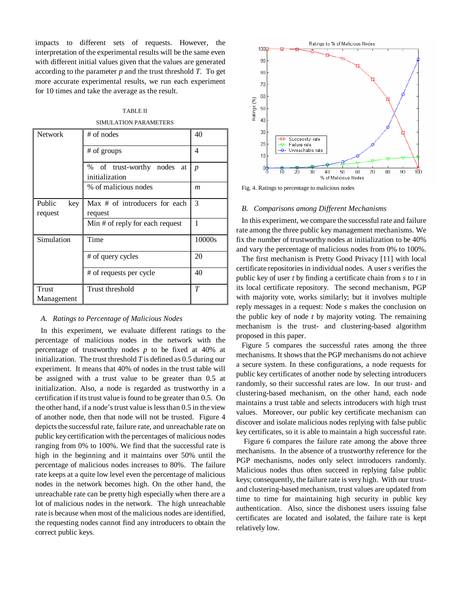impacts to different sets of requests. However, the interpretation of the experimental results will be the same even with different initial values given that the values are generated according to the parameter *p* and the trust threshold *T*. To get more accurate experimental results, we run each experiment for 10 times and take the average as the result.

# TABLE II

SIMULATION PARAMETERS

| <b>Network</b>           | $#$ of nodes                                       | 40               |
|--------------------------|----------------------------------------------------|------------------|
|                          | # of groups                                        | 4                |
|                          | % of trust-worthy<br>nodes<br>at<br>initialization | $\boldsymbol{p}$ |
|                          | % of malicious nodes                               | m                |
| Public<br>key<br>request | Max # of introducers for each<br>request           | 3                |
|                          | Min # of reply for each request                    | 1                |
| Simulation               | Time                                               | 10000s           |
|                          | # of query cycles                                  | 20               |
|                          | # of requests per cycle                            | 40               |
| <b>Trust</b>             | Trust threshold                                    | T                |
| Management               |                                                    |                  |

## *A. Ratings to Percentage of Malicious Nodes*

In this experiment, we evaluate different ratings to the percentage of malicious nodes in the network with the percentage of trustworthy nodes *p* to be fixed at 40% at initialization. The trust threshold *T* is defined as 0.5 during our experiment. It means that 40% of nodes in the trust table will be assigned with a trust value to be greater than 0.5 at initialization. Also, a node is regarded as trustworthy in a certification if its trust value is found to be greater than 0.5. On the other hand, if a node's trust value is less than 0.5 in the view of another node, then that node will not be trusted. Figure 4 depicts the successful rate, failure rate, and unreachable rate on public key certification with the percentages of malicious nodes ranging from 0% to 100%. We find that the successful rate is high in the beginning and it maintains over 50% until the percentage of malicious nodes increases to 80%. The failure rate keeps at a quite low level even the percentage of malicious nodes in the network becomes high. On the other hand, the unreachable rate can be pretty high especially when there are a lot of malicious nodes in the network. The high unreachable rate is because when most of the malicious nodes are identified, the requesting nodes cannot find any introducers to obtain the correct public keys.



Fig. 4. Ratings to percentage to malicious nodes

#### *B. Comparisons among Different Mechanisms*

In this experiment, we compare the successful rate and failure rate among the three public key management mechanisms. We fix the number of trustworthy nodes at initialization to be 40% and vary the percentage of malicious nodes from 0% to 100%.

The first mechanism is Pretty Good Privacy [11] with local certificate repositoriesin individual nodes. A user *s* verifies the public key of user *t* by finding a certificate chain from *s* to *t* in its local certificate repository. The second mechanism, PGP with majority vote, works similarly; but it involves multiple reply messages in a request: Node *s* makes the conclusion on the public key of node *t* by majority voting. The remaining mechanism is the trust- and clustering-based algorithm proposed in this paper.

Figure 5 compares the successful rates among the three mechanisms. It shows that the PGP mechanisms do not achieve a secure system. In these configurations, a node requests for public key certificates of another node by selecting introducers randomly, so their successful rates are low. In our trust- and clustering-based mechanism, on the other hand, each node maintains a trust table and selects introducers with high trust values. Moreover, our public key certificate mechanism can discover and isolate malicious nodes replying with false public key certificates, so it is able to maintain a high successful rate.

Figure 6 compares the failure rate among the above three mechanisms. In the absence of a trustworthy reference for the PGP mechanisms, nodes only select introducers randomly. Malicious nodes thus often succeed in replying false public keys; consequently, the failure rate is very high. With our trustand clustering-based mechanism, trust values are updated from time to time for maintaining high security in public key authentication. Also, since the dishonest users issuing false certificates are located and isolated, the failure rate is kept relatively low.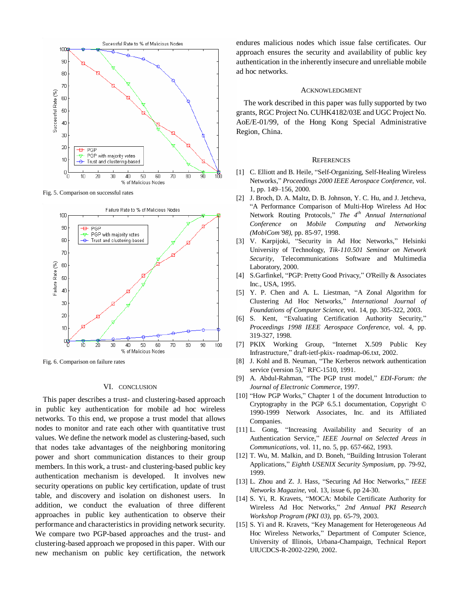

Fig. 5. Comparison on successful rates



Fig. 6. Comparison on failure rates

#### VI. CONCLUSION

This paper describes a trust- and clustering-based approach in public key authentication for mobile ad hoc wireless networks. To this end, we propose a trust model that allows nodes to monitor and rate each other with quantitative trust values. We define the network model as clustering-based, such that nodes take advantages of the neighboring monitoring power and short communication distances to their group members. In this work, a trust- and clustering-based public key authentication mechanism is developed. It involves new security operations on public key certification, update of trust table, and discovery and isolation on dishonest users. In addition, we conduct the evaluation of three different approaches in public key authentication to observe their performance and characteristics in providing network security. We compare two PGP-based approaches and the trust- and clustering-based approach we proposed in this paper. With our new mechanism on public key certification, the network endures malicious nodes which issue false certificates. Our approach ensures the security and availability of public key authentication in the inherently insecure and unreliable mobile ad hoc networks.

#### ACKNOWLEDGMENT

The work described in this paper was fully supported by two grants, RGC Project No. CUHK4182/03E and UGC Project No. AoE/E-01/99, of the Hong Kong Special Administrative Region, China.

#### **REFERENCES**

- [1] C. Elliott and B. Heile, "Self-Organizing, Self-Healing Wireless Networks," *Proceedings 2000 IEEE Aerospace Conference*, vol. 1, pp. 149–156, 2000.
- [2] J. Broch, D. A. Maltz, D. B. Johnson, Y. C. Hu, and J. Jetcheva, "A Performance Comparison of Multi-Hop Wireless Ad Hoc Network Routing Protocols," *The 4th Annual International Conference on Mobile Computing and Networking (MobiCom'98)*, pp. 85-97, 1998.
- [3] V. Karpijoki, "Security in Ad Hoc Networks," Helsinki University of Technology, *Tik-110.501 Seminar on Network Security*, Telecommunications Software and Multimedia Laboratory, 2000.
- [4] S.Garfinkel, "PGP: Pretty Good Privacy," O'Reilly & Associates Inc., USA, 1995.
- [5] Y. P. Chen and A. L. Liestman, "A Zonal Algorithm for Clustering Ad Hoc Networks," *International Journal of Foundations of Computer Science*, vol. 14, pp. 305-322, 2003.
- [6] S. Kent, "Evaluating Certification Authority Security," *Proceedings 1998 IEEE Aerospace Conference*, vol. 4, pp. 319-327, 1998.
- [7] PKIX Working Group, "Internet X.509 Public Key Infrastructure," draft-ietf-pkix- roadmap-06.txt, 2002.
- [8] J. Kohl and B. Neuman, "The Kerberos network authentication service (version 5)," RFC-1510, 1991.
- [9] A. Abdul-Rahman, "The PGP trust model," *EDI-Forum: the Journal of Electronic Commerce*, 1997.
- [10] "How PGP Works," Chapter 1 of the document Introduction to Cryptography in the PGP 6.5.1 documentation, Copyright © 1990-1999 Network Associates, Inc. and its Affiliated Companies.
- [11] L. Gong, "Increasing Availability and Security of an Authentication Service," *IEEE Journal on Selected Areas in Communications*, vol. 11, no. 5, pp. 657-662, 1993.
- [12] T. Wu, M. Malkin, and D. Boneh, "Building Intrusion Tolerant Applications," *Eighth USENIX Security Symposium*, pp. 79-92, 1999.
- [13] L. Zhou and Z. J. Hass, "Securing Ad Hoc Networks," *IEEE Networks Magazine*, vol. 13, issue 6, pp 24-30.
- [14] S. Yi, R. Kravets, "MOCA: Mobile Certificate Authority for Wireless Ad Hoc Networks," *2nd Annual PKI Research Workshop Program (PKI 03)*, pp. 65-79, 2003.
- [15] S. Yi and R. Kravets, "Key Management for Heterogeneous Ad Hoc Wireless Networks," Department of Computer Science, University of Illinois, Urbana-Champaign, Technical Report UIUCDCS-R-2002-2290, 2002.